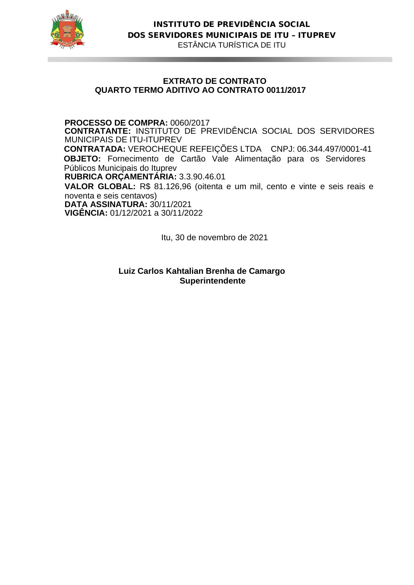

# **EXTRATO DE CONTRATO QUARTO TERMO ADITIVO AO CONTRATO 0011/2017**

**PROCESSO DE COMPRA:** 0060/2017

**CONTRATANTE:** INSTITUTO DE PREVIDÊNCIA SOCIAL DOS SERVIDORES MUNICIPAIS DE ITU-ITUPREV

**CONTRATADA:** VEROCHEQUE REFEIÇÕES LTDA CNPJ: 06.344.497/0001-41  **OBJETO:** Fornecimento de Cartão Vale Alimentação para os Servidores Públicos Municipais do Ituprev

**RUBRICA ORÇAMENTÁRIA:** 3.3.90.46.01

**VALOR GLOBAL:** R\$ 81.126,96 (oitenta e um mil, cento e vinte e seis reais e noventa e seis centavos)

**DATA ASSINATURA:** 30/11/2021 **VIGÊNCIA:** 01/12/2021 a 30/11/2022

Itu, 30 de novembro de 2021

**Luiz Carlos Kahtalian Brenha de Camargo Superintendente**